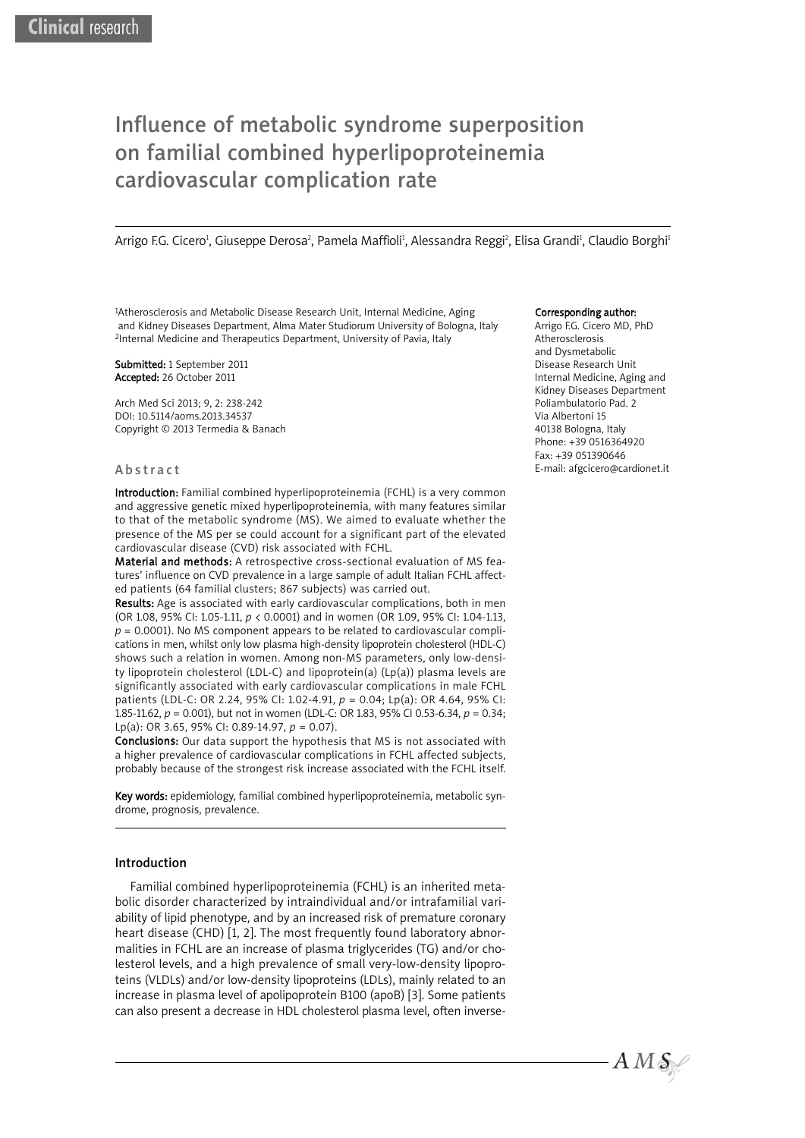# Influence of metabolic syndrome superposition on familial combined hyperlipoproteinemia cardiovascular complication rate

Arrigo F.G. Cicero<sup>1</sup>, Giuseppe Derosa<sup>2</sup>, Pamela Maffioli<sup>1</sup>, Alessandra Reggi<sup>2</sup>, Elisa Grandi<sup>1</sup>, Claudio Borghi<sup>1</sup>

1Atherosclerosis and Metabolic Disease Research Unit, Internal Medicine, Aging and Kidney Diseases Department, Alma Mater Studiorum University of Bologna, Italy 2Internal Medicine and Therapeutics Department, University of Pavia, Italy

Submitted: 1 September 2011 Accepted: 26 October 2011

Arch Med Sci 2013; 9, 2: 238-242 DOI: 10.5114/aoms.2013.34537 Copyright © 2013 Termedia & Banach

#### **A** b s tract

Introduction: Familial combined hyperlipoproteinemia (FCHL) is a very common and aggressive genetic mixed hyperlipoproteinemia, with many features similar to that of the metabolic syndrome (MS). We aimed to evaluate whether the presence of the MS per se could account for a significant part of the elevated cardiovascular disease (CVD) risk associated with FCHL.

Material and methods: A retrospective cross-sectional evaluation of MS features' influence on CVD prevalence in a large sample of adult Italian FCHL affected patients (64 familial clusters; 867 subjects) was carried out.

Results: Age is associated with early cardiovascular complications, both in men (OR 1.08, 95% CI: 1.05-1.11, *p* < 0.0001) and in women (OR 1.09, 95% CI: 1.04-1.13, *p* = 0.0001). No MS component appears to be related to cardiovascular complications in men, whilst only low plasma high-density lipoprotein cholesterol (HDL-C) shows such a relation in women. Among non-MS parameters, only low-density lipoprotein cholesterol (LDL-C) and lipoprotein(a) (Lp(a)) plasma levels are significantly associated with early cardiovascular complications in male FCHL patients (LDL-C: OR 2.24, 95% CI: 1.02-4.91, *p* = 0.04; Lp(a): OR 4.64, 95% CI: 1.85-11.62, *p* = 0.001), but not in women (LDL-C: OR 1.83, 95% CI 0.53-6.34, *p* = 0.34; Lp(a): OR 3.65, 95% CI: 0.89-14.97, *p* = 0.07).

Conclusions: Our data support the hypothesis that MS is not associated with a higher prevalence of cardiovascular complications in FCHL affected subjects, probably because of the strongest risk increase associated with the FCHL itself.

Key words: epidemiology, familial combined hyperlipoproteinemia, metabolic syndrome, prognosis, prevalence.

# Introduction

Familial combined hyperlipoproteinemia (FCHL) is an inherited metabolic disorder characterized by intraindividual and/or intrafamilial variability of lipid phenotype, and by an increased risk of premature coronary heart disease (CHD) [1, 2]. The most frequently found laboratory abnormalities in FCHL are an increase of plasma triglycerides (TG) and/or cholesterol levels, and a high prevalence of small very-low-density lipoproteins (VLDLs) and/or low-density lipoproteins (LDLs), mainly related to an increase in plasma level of apolipoprotein B100 (apoB) [3]. Some patients can also present a decrease in HDL cholesterol plasma level, often inverse-

#### Corresponding author:

Arrigo F.G. Cicero MD, PhD Atherosclerosis and Dysmetabolic Disease Research Unit Internal Medicine, Aging and Kidney Diseases Department Poliambulatorio Pad. 2 Via Albertoni 15 40138 Bologna, Italy Phone: +39 0516364920 Fax: +39 051390646 E-mail: afgcicero@cardionet.it

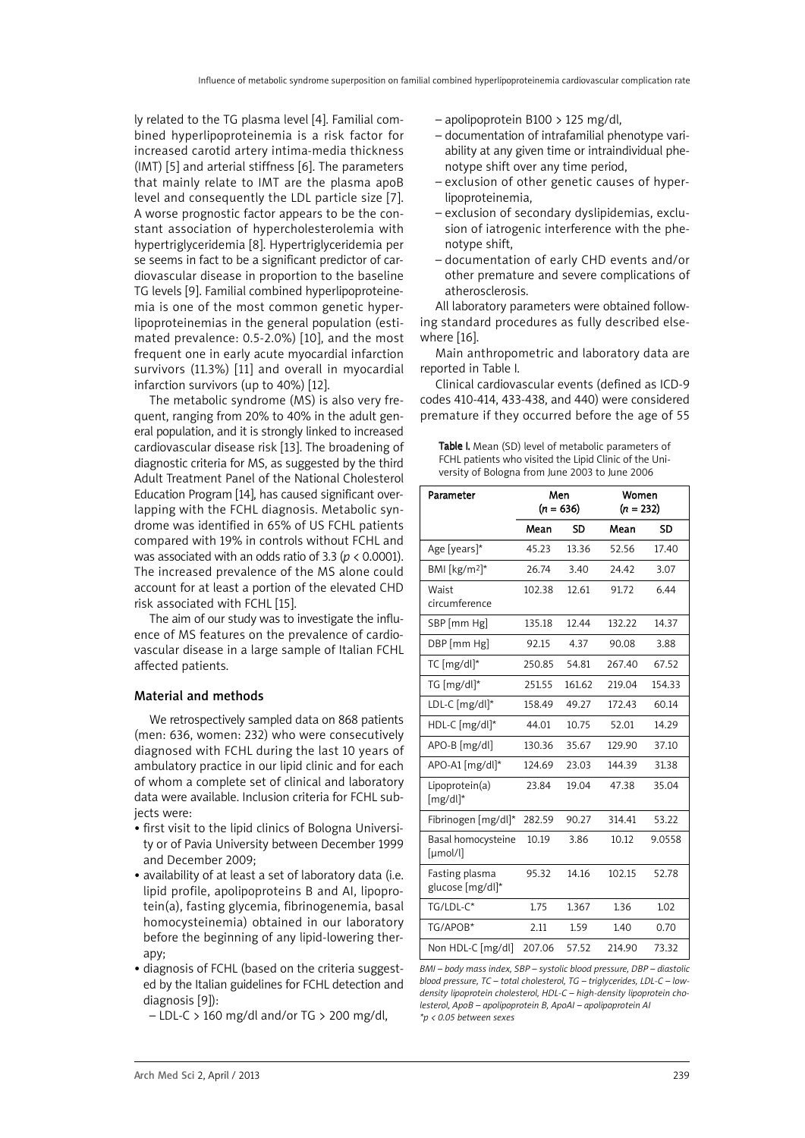ly related to the TG plasma level [4]. Familial combined hyperlipoproteinemia is a risk factor for increased carotid artery intima-media thickness (IMT) [5] and arterial stiffness [6]. The parameters that mainly relate to IMT are the plasma apoB level and consequently the LDL particle size [7]. A worse prognostic factor appears to be the constant association of hypercholesterolemia with hypertriglyceridemia [8]. Hypertriglyceridemia per se seems in fact to be a significant predictor of cardiovascular disease in proportion to the baseline TG levels [9]. Familial combined hyperlipoproteinemia is one of the most common genetic hyperlipoproteinemias in the general population (estimated prevalence: 0.5-2.0%) [10], and the most frequent one in early acute myocardial infarction survivors (11.3%) [11] and overall in myocardial infarction survivors (up to 40%) [12].

The metabolic syndrome (MS) is also very frequent, ranging from 20% to 40% in the adult general population, and it is strongly linked to increased cardiovascular disease risk [13]. The broadening of diagnostic criteria for MS, as suggested by the third Adult Treatment Panel of the National Cholesterol Education Program [14], has caused significant overlapping with the FCHL diagnosis. Metabolic syndrome was identified in 65% of US FCHL patients compared with 19% in controls without FCHL and was associated with an odds ratio of 3.3 (*p* < 0.0001). The increased prevalence of the MS alone could account for at least a portion of the elevated CHD risk associated with FCHL [15].

The aim of our study was to investigate the influence of MS features on the prevalence of cardiovascular disease in a large sample of Italian FCHL affected patients.

# Material and methods

We retrospectively sampled data on 868 patients (men: 636, women: 232) who were consecutively diagnosed with FCHL during the last 10 years of ambulatory practice in our lipid clinic and for each of whom a complete set of clinical and laboratory data were available. Inclusion criteria for FCHL subiects were:

- first visit to the lipid clinics of Bologna University or of Pavia University between December 1999 and December 2009;
- availability of at least a set of laboratory data (i.e. lipid profile, apolipoproteins B and AI, lipoprotein(a), fasting glycemia, fibrinogenemia, basal homocysteinemia) obtained in our laboratory before the beginning of any lipid-lowering therapy;
- diagnosis of FCHL (based on the criteria suggested by the Italian guidelines for FCHL detection and diagnosis [9]):
	- $-$  LDL-C  $>$  160 mg/dl and/or TG  $>$  200 mg/dl,

– apolipoprotein B100 > 125 mg/dl,

- documentation of intrafamilial phenotype variability at any given time or intraindividual phenotype shift over any time period,
- exclusion of other genetic causes of hyperlipoproteinemia,
- exclusion of secondary dyslipidemias, exclusion of iatrogenic interference with the phenotype shift,
- documentation of early CHD events and/or other premature and severe complications of atherosclerosis.

All laboratory parameters were obtained following standard procedures as fully described elsewhere [16].

Main anthropometric and laboratory data are reported in Table I.

Clinical cardiovascular events (defined as ICD-9 codes 410-414, 433-438, and 440) were considered premature if they occurred before the age of 55

Table I. Mean (SD) level of metabolic parameters of FCHL patients who visited the Lipid Clinic of the University of Bologna from June 2003 to June 2006

| Parameter                          |        | Men<br>$(n = 636)$ | Women<br>$(n = 232)$ |        |
|------------------------------------|--------|--------------------|----------------------|--------|
|                                    | Mean   | SD                 | Mean                 | SD     |
| Age [years]*                       | 45.23  | 13.36              | 52.56                | 17.40  |
| BMI [ $kg/m2$ ]*                   | 26.74  | 3.40               | 24.42                | 3.07   |
| Waist<br>circumference             | 102.38 | 12.61              | 91.72                | 6.44   |
| SBP [mm Hg]                        | 135.18 | 12.44              | 132.22               | 14.37  |
| DBP [mm Hg]                        | 92.15  | 4.37               | 90.08                | 3.88   |
| TC [mg/dl]*                        | 250.85 | 54.81              | 267.40               | 67.52  |
| TG [mg/dl]*                        | 251.55 | 161.62             | 219.04               | 154.33 |
| LDL-C [mg/dl]*                     | 158.49 | 49.27              | 172.43               | 60.14  |
| HDL-C [mg/dl]*                     | 44.01  | 10.75              | 52.01                | 14.29  |
| APO-B [mg/dl]                      | 130.36 | 35.67              | 129.90               | 37.10  |
| APO-A1 [mg/dl]*                    | 124.69 | 23.03              | 144.39               | 31.38  |
| Lipoprotein(a)<br>[mg/dl]*         | 23.84  | 19.04              | 47.38                | 35.04  |
| Fibrinogen [mg/dl]*                | 282.59 | 90.27              | 314.41               | 53.22  |
| Basal homocysteine<br>[µmol/l]     | 10.19  | 3.86               | 10.12                | 9.0558 |
| Fasting plasma<br>glucose [mg/dl]* | 95.32  | 14.16              | 102.15               | 52.78  |
| TG/LDL-C*                          | 1.75   | 1.367              | 1.36                 | 1.02   |
| TG/APOB*                           | 2.11   | 1.59               | 1.40                 | 0.70   |
| Non HDL-C [mg/dl]                  | 207.06 | 57.52              | 214.90               | 73.32  |

*BMI – body mass index, SBP – systolic blood pressure, DBP – diastolic blood pressure, TC – total cholesterol, TG – triglycerides, LDL-C – lowdensity lipoprotein cholesterol, HDL-C – high-density lipoprotein cholesterol, ApoB – apolipoprotein B, ApoAI – apolipoprotein AI \*p < 0.05 between sexes*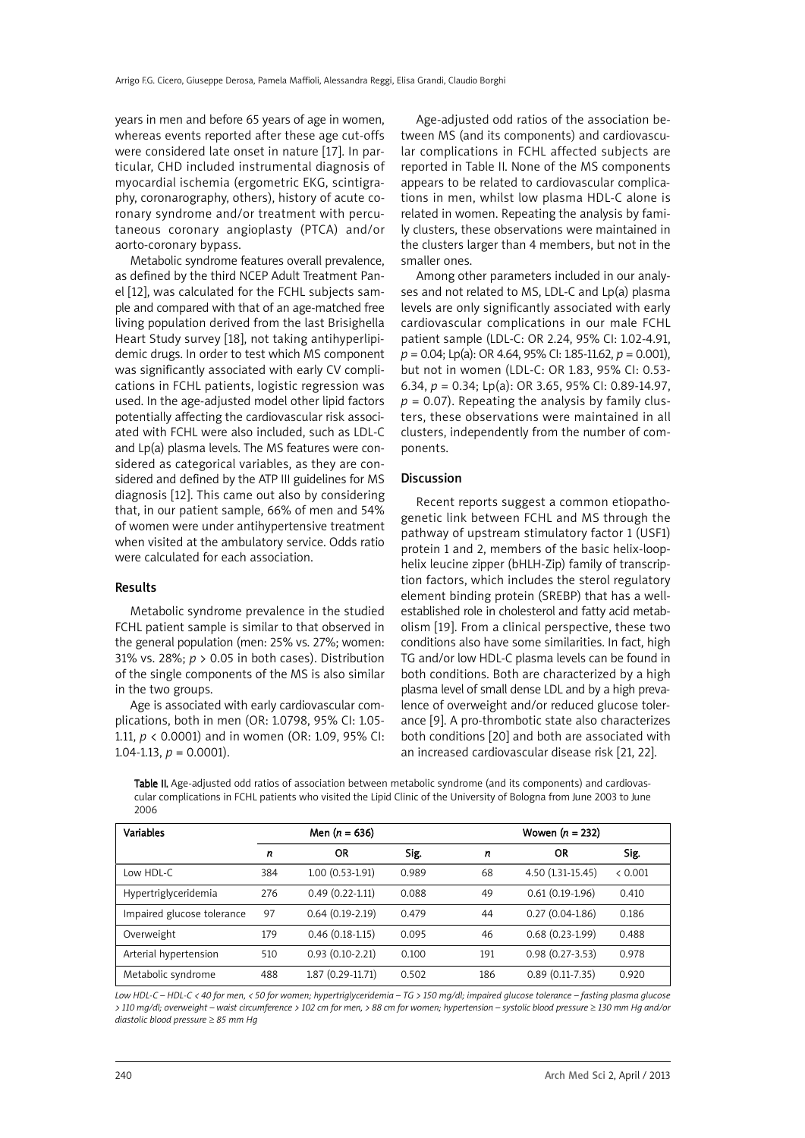years in men and before 65 years of age in women, whereas events reported after these age cut-offs were considered late onset in nature [17]. In particular, CHD included instrumental diagnosis of myocardial ischemia (ergometric EKG, scintigraphy, coronarography, others), history of acute coronary syndrome and/or treatment with percutaneous coronary angioplasty (PTCA) and/or aorto-coronary bypass.

Metabolic syndrome features overall prevalence, as defined by the third NCEP Adult Treatment Panel [12], was calculated for the FCHL subjects sample and compared with that of an age-matched free living population derived from the last Brisighella Heart Study survey [18], not taking antihyperlipidemic drugs. In order to test which MS component was significantly associated with early CV complications in FCHL patients, logistic regression was used. In the age-adjusted model other lipid factors potentially affecting the cardiovascular risk associated with FCHL were also included, such as LDL-C and Lp(a) plasma levels. The MS features were considered as categorical variables, as they are considered and defined by the ATP III guidelines for MS diagnosis [12]. This came out also by considering that, in our patient sample, 66% of men and 54% of women were under antihypertensive treatment when visited at the ambulatory service. Odds ratio were calculated for each association.

# Results

Metabolic syndrome prevalence in the studied FCHL patient sample is similar to that observed in the general population (men: 25% vs. 27%; women: 31% vs. 28%; *p* > 0.05 in both cases). Distribution of the single components of the MS is also similar in the two groups.

Age is associated with early cardiovascular complications, both in men (OR: 1.0798, 95% CI: 1.05- 1.11, *p* < 0.0001) and in women (OR: 1.09, 95% CI: 1.04-1.13,  $p = 0.0001$ ).

Age-adjusted odd ratios of the association between MS (and its components) and cardiovascular complications in FCHL affected subjects are reported in Table II. None of the MS components appears to be related to cardiovascular complications in men, whilst low plasma HDL-C alone is related in women. Repeating the analysis by family clusters, these observations were maintained in the clusters larger than 4 members, but not in the smaller ones.

Among other parameters included in our analyses and not related to MS, LDL-C and Lp(a) plasma levels are only significantly associated with early cardiovascular complications in our male FCHL patient sample (LDL-C: OR 2.24, 95% CI: 1.02-4.91, *p* = 0.04; Lp(a): OR 4.64, 95% CI: 1.85-11.62, *p* = 0.001), but not in women (LDL-C: OR 1.83, 95% CI: 0.53- 6.34, *p* = 0.34; Lp(a): OR 3.65, 95% CI: 0.89-14.97,  $p = 0.07$ ). Repeating the analysis by family clusters, these observations were maintained in all clusters, independently from the number of components.

### Discussion

Recent reports suggest a common etiopathogenetic link between FCHL and MS through the pathway of upstream stimulatory factor 1 (USF1) protein 1 and 2, members of the basic helix-loophelix leucine zipper (bHLH-Zip) family of transcription factors, which includes the sterol regulatory element binding protein (SREBP) that has a wellestablished role in cholesterol and fatty acid metabolism [19]. From a clinical perspective, these two conditions also have some similarities. In fact, high TG and/or low HDL-C plasma levels can be found in both conditions. Both are characterized by a high plasma level of small dense LDL and by a high prevalence of overweight and/or reduced glucose tolerance [9]. A pro-thrombotic state also characterizes both conditions [20] and both are associated with an increased cardiovascular disease risk [21, 22].

Table II. Age-adjusted odd ratios of association between metabolic syndrome (and its components) and cardiovascular complications in FCHL patients who visited the Lipid Clinic of the University of Bologna from June 2003 to June 2006

| <b>Variables</b>           |     | Men $(n = 636)$   |       |     | Wowen $(n = 232)$  |         |  |  |
|----------------------------|-----|-------------------|-------|-----|--------------------|---------|--|--|
|                            | n   | OR                | Sig.  | n   | <b>OR</b>          | Sig.    |  |  |
| Low HDL-C                  | 384 | $1.00(0.53-1.91)$ | 0.989 | 68  | $4.50(1.31-15.45)$ | & 0.001 |  |  |
| Hypertriglyceridemia       | 276 | $0.49(0.22-1.11)$ | 0.088 | 49  | $0.61(0.19-1.96)$  | 0.410   |  |  |
| Impaired glucose tolerance | 97  | $0.64(0.19-2.19)$ | 0.479 | 44  | $0.27(0.04-1.86)$  | 0.186   |  |  |
| Overweight                 | 179 | $0.46(0.18-1.15)$ | 0.095 | 46  | $0.68(0.23-1.99)$  | 0.488   |  |  |
| Arterial hypertension      | 510 | $0.93(0.10-2.21)$ | 0.100 | 191 | $0.98(0.27-3.53)$  | 0.978   |  |  |
| Metabolic syndrome         | 488 | 1.87 (0.29-11.71) | 0.502 | 186 | $0.89(0.11-7.35)$  | 0.920   |  |  |

Low HDL-C - HDL-C < 40 for men, < 50 for women; hypertriglyceridemia - TG > 150 mq/dl; impaired glucose tolerance - fasting plasma glucose > 110 ma/dl: overweight – waist circumference > 102 cm for men. > 88 cm for women: hypertension – systolic blood pressure ≥ 130 mm Ha and/or *diastolic blood pressure* ≥ *85 mm Hg*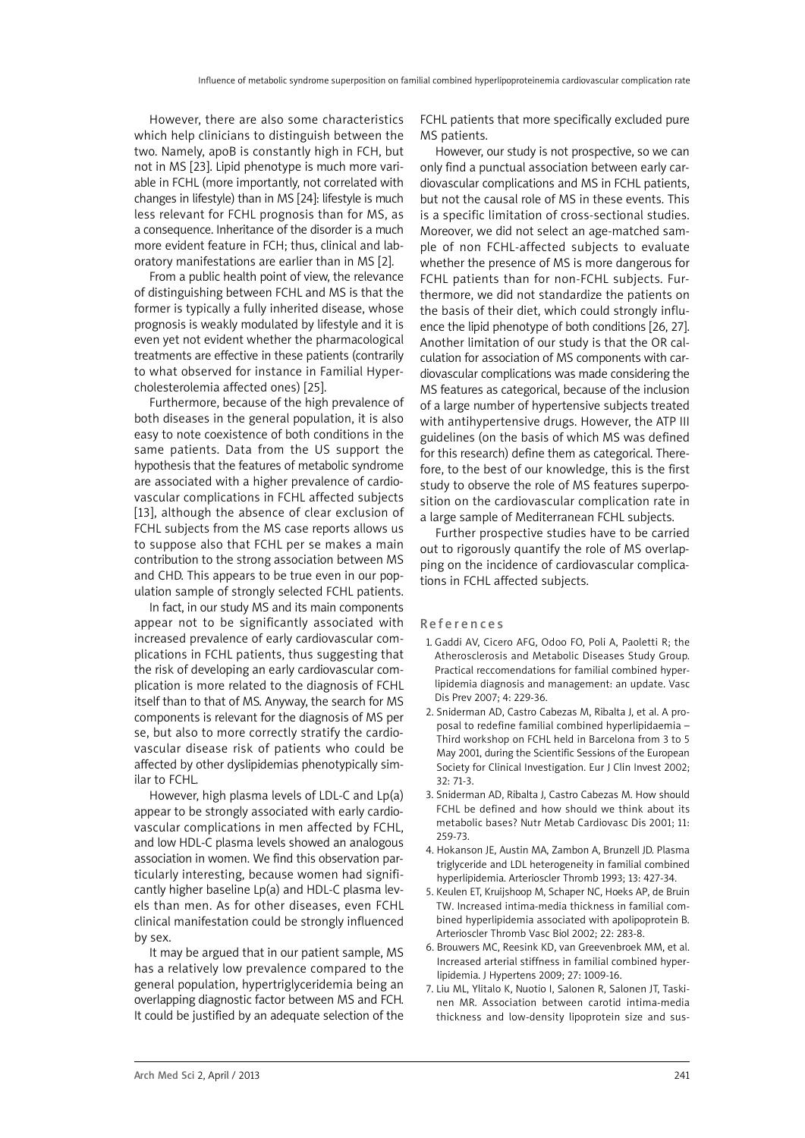However, there are also some characteristics which help clinicians to distinguish between the two. Namely, apoB is constantly high in FCH, but not in MS [23]. Lipid phenotype is much more variable in FCHL (more importantly, not correlated with changes in lifestyle) than in MS [24]: lifestyle is much less relevant for FCHL prognosis than for MS, as a consequence. Inheritance of the disorder is a much more evident feature in FCH; thus, clinical and laboratory manifestations are earlier than in MS [2].

From a public health point of view, the relevance of distinguishing between FCHL and MS is that the former is typically a fully inherited disease, whose prognosis is weakly modulated by lifestyle and it is even yet not evident whether the pharmacological treatments are effective in these patients (contrarily to what observed for instance in Familial Hypercholesterolemia affected ones) [25].

Furthermore, because of the high prevalence of both diseases in the general population, it is also easy to note coexistence of both conditions in the same patients. Data from the US support the hypothesis that the features of metabolic syndrome are associated with a higher prevalence of cardiovascular complications in FCHL affected subjects [13], although the absence of clear exclusion of FCHL subjects from the MS case reports allows us to suppose also that FCHL per se makes a main contribution to the strong association between MS and CHD. This appears to be true even in our population sample of strongly selected FCHL patients.

In fact, in our study MS and its main components appear not to be significantly associated with increased prevalence of early cardiovascular complications in FCHL patients, thus suggesting that the risk of developing an early cardiovascular complication is more related to the diagnosis of FCHL itself than to that of MS. Anyway, the search for MS components is relevant for the diagnosis of MS per se, but also to more correctly stratify the cardiovascular disease risk of patients who could be affected by other dyslipidemias phenotypically similar to FCHL.

However, high plasma levels of LDL-C and Lp(a) appear to be strongly associated with early cardiovascular complications in men affected by FCHL, and low HDL-C plasma levels showed an analogous association in women. We find this observation particularly interesting, because women had significantly higher baseline Lp(a) and HDL-C plasma levels than men. As for other diseases, even FCHL clinical manifestation could be strongly influenced by sex.

It may be argued that in our patient sample, MS has a relatively low prevalence compared to the general population, hypertriglyceridemia being an overlapping diagnostic factor between MS and FCH. It could be justified by an adequate selection of the FCHL patients that more specifically excluded pure MS patients.

However, our study is not prospective, so we can only find a punctual association between early cardiovascular complications and MS in FCHL patients, but not the causal role of MS in these events. This is a specific limitation of cross-sectional studies. Moreover, we did not select an age-matched sample of non FCHL-affected subjects to evaluate whether the presence of MS is more dangerous for FCHL patients than for non-FCHL subjects. Furthermore, we did not standardize the patients on the basis of their diet, which could strongly influence the lipid phenotype of both conditions [26, 27]. Another limitation of our study is that the OR calculation for association of MS components with cardiovascular complications was made considering the MS features as categorical, because of the inclusion of a large number of hypertensive subjects treated with antihypertensive drugs. However, the ATP III guidelines (on the basis of which MS was defined for this research) define them as categorical. Therefore, to the best of our knowledge, this is the first study to observe the role of MS features superposition on the cardiovascular complication rate in a large sample of Mediterranean FCHL subjects.

Further prospective studies have to be carried out to rigorously quantify the role of MS overlapping on the incidence of cardiovascular complications in FCHL affected subjects.

#### References

- 1. Gaddi AV, Cicero AFG, Odoo FO, Poli A, Paoletti R; the Atherosclerosis and Metabolic Diseases Study Group. Practical reccomendations for familial combined hyperlipidemia diagnosis and management: an update. Vasc Dis Prev 2007; 4: 229-36.
- 2. Sniderman AD, Castro Cabezas M, Ribalta J, et al. A proposal to redefine familial combined hyperlipidaemia – Third workshop on FCHL held in Barcelona from 3 to 5 May 2001, during the Scientific Sessions of the European Society for Clinical Investigation. Eur J Clin Invest 2002; 32: 71-3.
- 3. Sniderman AD, Ribalta J, Castro Cabezas M, How should FCHL be defined and how should we think about its metabolic bases? Nutr Metab Cardiovasc Dis 2001; 11: 259-73.
- 4. Hokanson JE, Austin MA, Zambon A, Brunzell JD. Plasma triglyceride and LDL heterogeneity in familial combined hyperlipidemia. Arterioscler Thromb 1993; 13: 427-34.
- 5. Keulen ET, Kruijshoop M, Schaper NC, Hoeks AP, de Bruin TW. Increased intima-media thickness in familial combined hyperlipidemia associated with apolipoprotein B. Arterioscler Thromb Vasc Biol 2002; 22: 283-8.
- 6. Brouwers MC, Reesink KD, van Greevenbroek MM, et al. Increased arterial stiffness in familial combined hyperlipidemia. J Hypertens 2009; 27: 1009-16.
- 7. Liu ML, Ylitalo K, Nuotio I, Salonen R, Salonen JT, Taskinen MR. Association between carotid intima-media thickness and low-density lipoprotein size and sus-